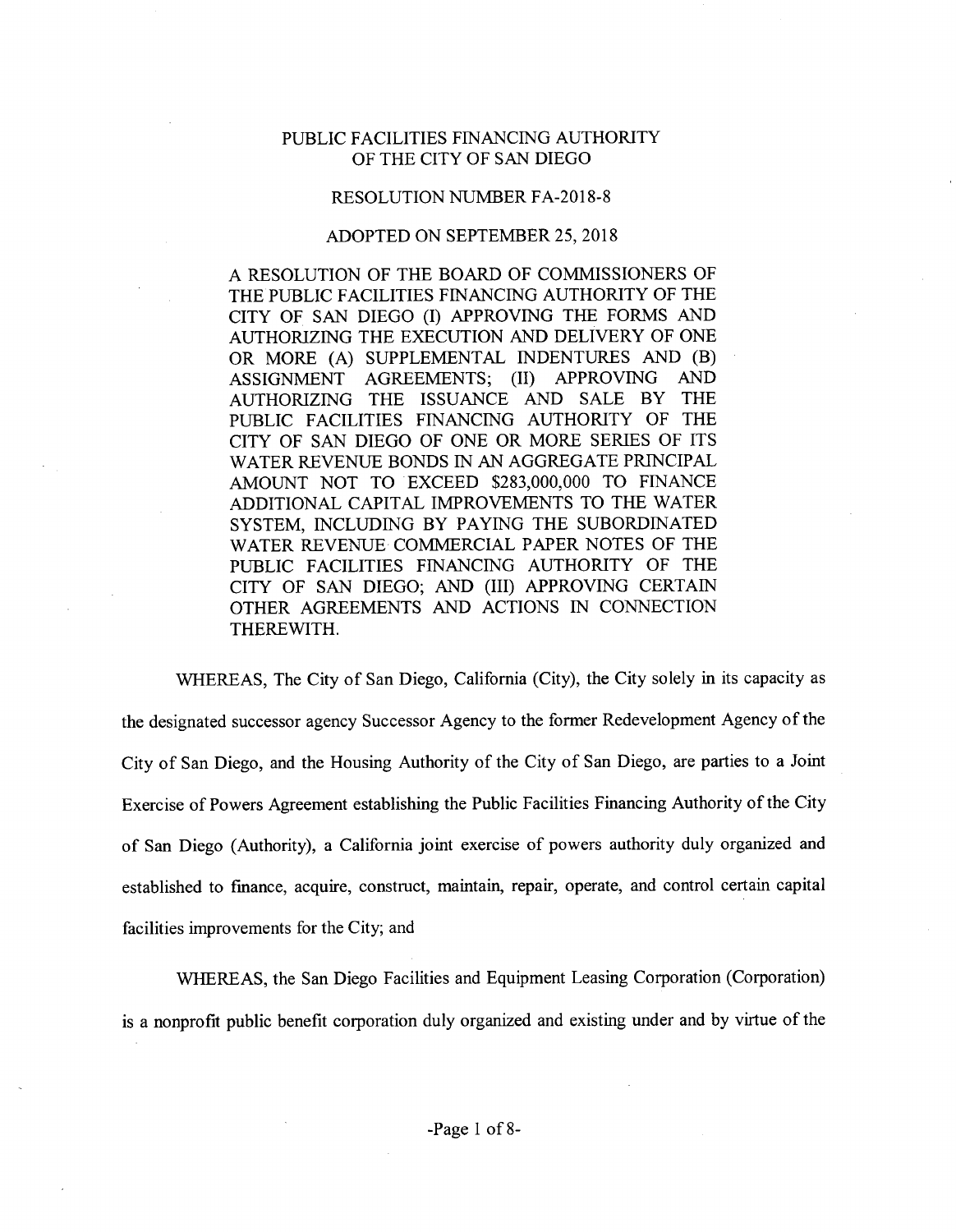## PUBLIC FACILITIES FINANCING AUTHORITY OF THE CITY OF SAN DIEGO

## RESOLUTION NUMBER FA-2018-8

## ADOPTED ON SEPTEMBER 25, 2018

A RESOLUTION OF THE BOARD OF COMMISSIONERS OF THE PUBLIC FACILITIES FINANCING AUTHORITY OF THE CITY OF SAN DIEGO (I) APPROVING THE FORMS AND AUTHORIZING THE EXECUTION AND DELIVERY OF ONE OR MORE (A) SUPPLEMENTAL INDENTURES AND (B)<br>ASSIGNMENT AGREEMENTS; (II) APPROVING AND AGREEMENTS; (II) AUTHORIZING THE ISSUANCE AND SALE BY THE PUBLIC FACILITIES FINANCING AUTHORITY OF THE CITY OF SAN DIEGO OF ONE OR MORE SERIES OF ITS WATER REVENUE BONDS IN AN AGGREGATE PRINCIPAL AMOUNT NOT TO EXCEED \$283,000,000 TO FINANCE ADDITIONAL CAPITAL IMPROVEMENTS TO THE WATER SYSTEM, INCLUDING BY PAYING THE SUBORDINATED WATER REVENUE COMMERCIAL PAPER NOTES OF THE PUBLIC FACILITIES FINANCING AUTHORITY OF THE CITY OF SAN DIEGO; AND (III) APPROVING CERTAIN OTHER AGREEMENTS AND ACTIONS IN CONNECTION THEREWITH.

WHEREAS, The City of San Diego, California (City), the City solely in its capacity as the designated successor agency Successor Agency to the former Redevelopment Agency ofthe City of San Diego, and the Housing Authority of the City of San Diego, are parties to a Joint Exercise of Powers Agreement establishing the Public Facilities Financing Authority of the City of San Diego (Authority), a California joint exercise of powers authority duly organized and established to finance, acquire, construct, maintain, repair, operate, and control certain capital facilities improvements for the City; and

WHEREAS, the San Diego Facilities and Equipment Leasing Corporation (Corporation) is a nonprofit public benefit corporation duly organized and existing under and by virtue of the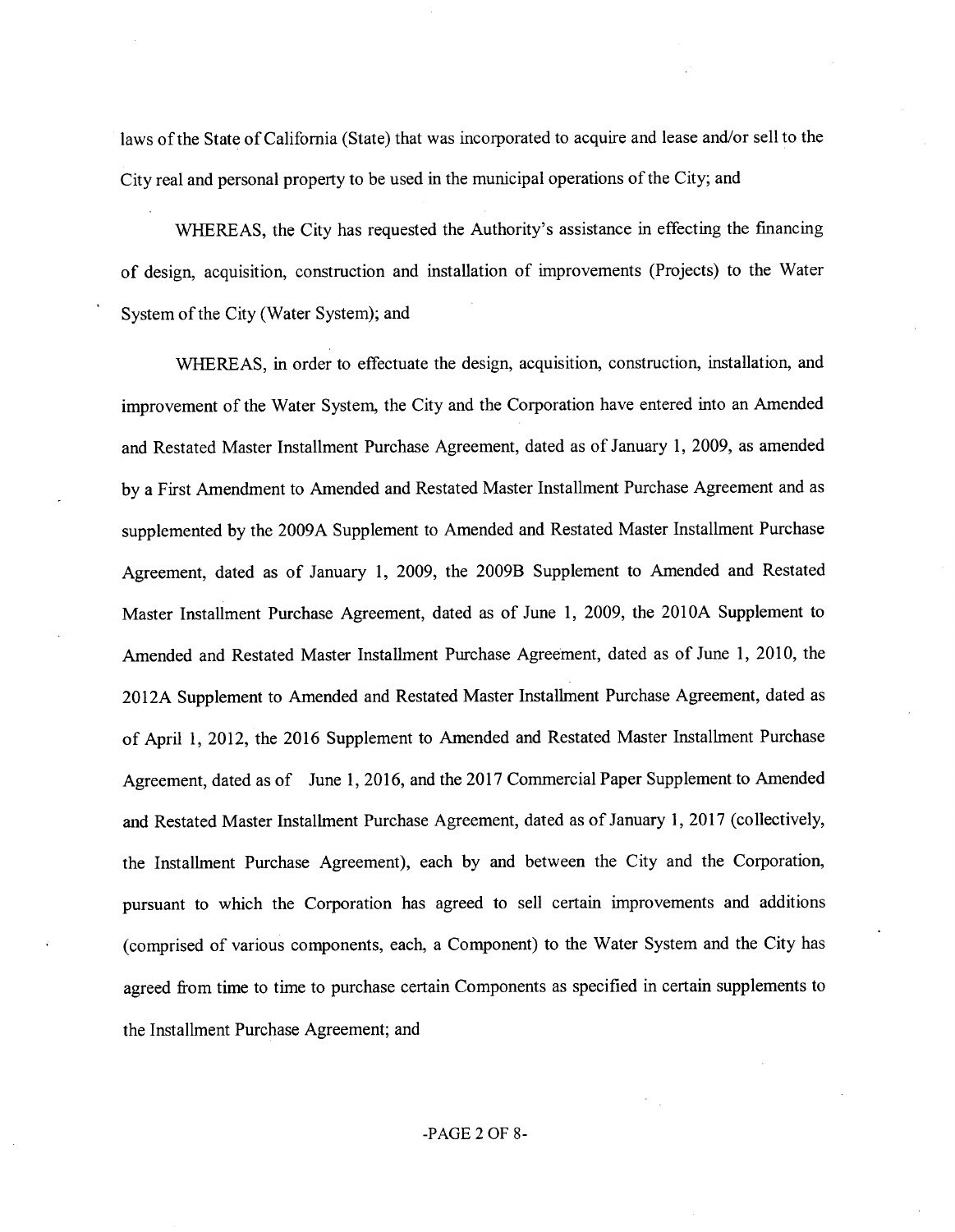laws of the State of California (State) that was incorporated to acquire and lease and/or sell to the City real and personal property to be used in the municipal operations ofthe City; and

WHEREAS, the City has requested the Authority's assistance in effecting the financing of design, acquisition, construction and installation of improvements (Projects) to the Water System of the City (Water System); and

WHEREAS, in order to effectuate the design, acquisition, construction, installation, and improvement of the Water System, the City and the Corporation have entered into an Amended and Restated Master Installment Purchase Agreement, dated as of January 1, 2009, as amended by a First Amendment to Amended and Restated Master Installment Purchase Agreement and as supplemented by the 2009A Supplement to Amended and Restated Master Installment Purchase Agreement, dated as of January 1, 2009, the 2009B Supplement to Amended and Restated Master Installment Purchase Agreement, dated as of June 1, 2009, the 201OA Supplement to Amended and Restated Master Installment Purchase Agreement, dated as of June 1, 2010, the 2012A Supplement to Amended and Restated Master Installment Purchase Agreement, dated as of April 1, 2012, the 2016 Supplement to Amended and Restated Master Installment Purchase Agreement, dated as of June 1, 2016, and the 2017 Commercial Paper Supplement to Amended and Restated Master Installment Purchase Agreement, dated as of January 1, 2017 (collectively, the Installment Purchase Agreement), each by and between the City and the Corporation, pursuant to which the Corporation has agreed to sell certain improvements and additions (comprised of various components, each, a Component) to the Water System and the City has agreed from time to time to purchase certain Components as specified in certain supplements to the Installment Purchase Agreement; and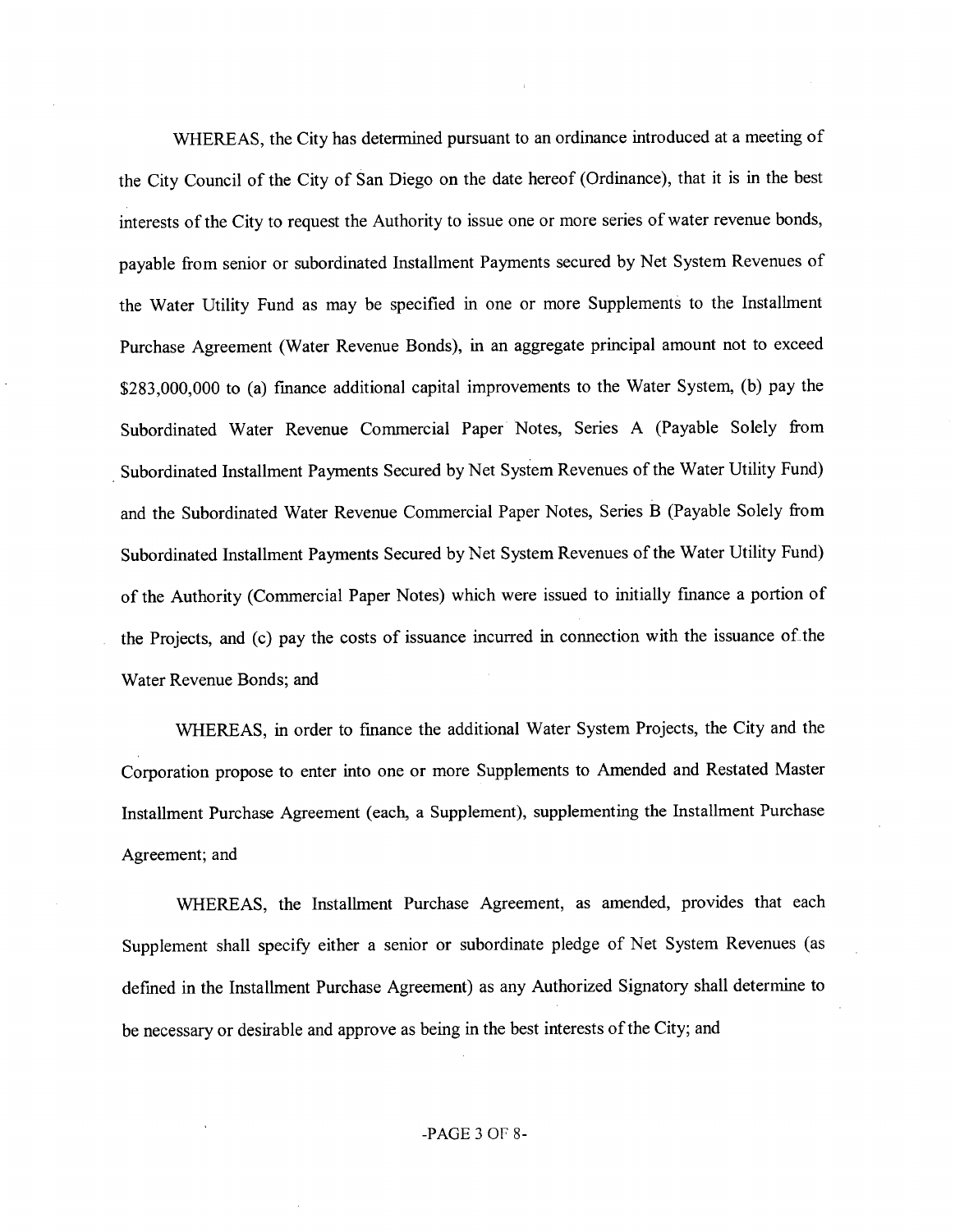WHEREAS, the City has determined pursuant to an ordinance introduced at a meeting of the City Council of the City of San Diego on the date hereof (Ordinance), that it is in the best interests of the City to request the Authority to issue one or more series of water revenue bonds, payable from senior or subordinated Installment Payments secured by Net System Revenues of the Water Utility Fund as may be specified in one or more Supplements to the Installment Purchase Agreement (Water Revenue Bonds), in an aggregate principal amount not to exceed \$283,000,000 to (a) finance additional capital improvements to the Water System, (b) pay the Subordinated Water Revenue Commercial Paper Notes, Series A (Payable Solely from Subordinated Installment Payments Secured by Net System Revenues of the Water Utility Fund) and the Subordinated Water Revenue Commercial Paper Notes, Series B (Payable Solely from Subordinated Installment Payments Secured by Net System Revenues of the Water Utility Fund) of the Authority (Commercial Paper Notes) which were issued to initially finance a portion of the Projects, and (c) pay the costs of issuance incurred in connection with the issuance of the Water Revenue Bonds; and

WHEREAS, in order to finance the additional Water System Projects, the City and the Corporation propose to enter into one or more Supplements to Amended and Restated Master Installment Purchase Agreement (each, a Supplement), supplementing the Installment Purchase Agreement; and

WHEREAS, the Installment Purchase Agreement, as amended, provides that each Supplement shall specify either a senior or subordinate pledge of Net System Revenues (as defined in the Installment Purchase Agreement) as any Authorized Signatory shall determine to be necessary or desirable and approve as being in the best interests of the City; and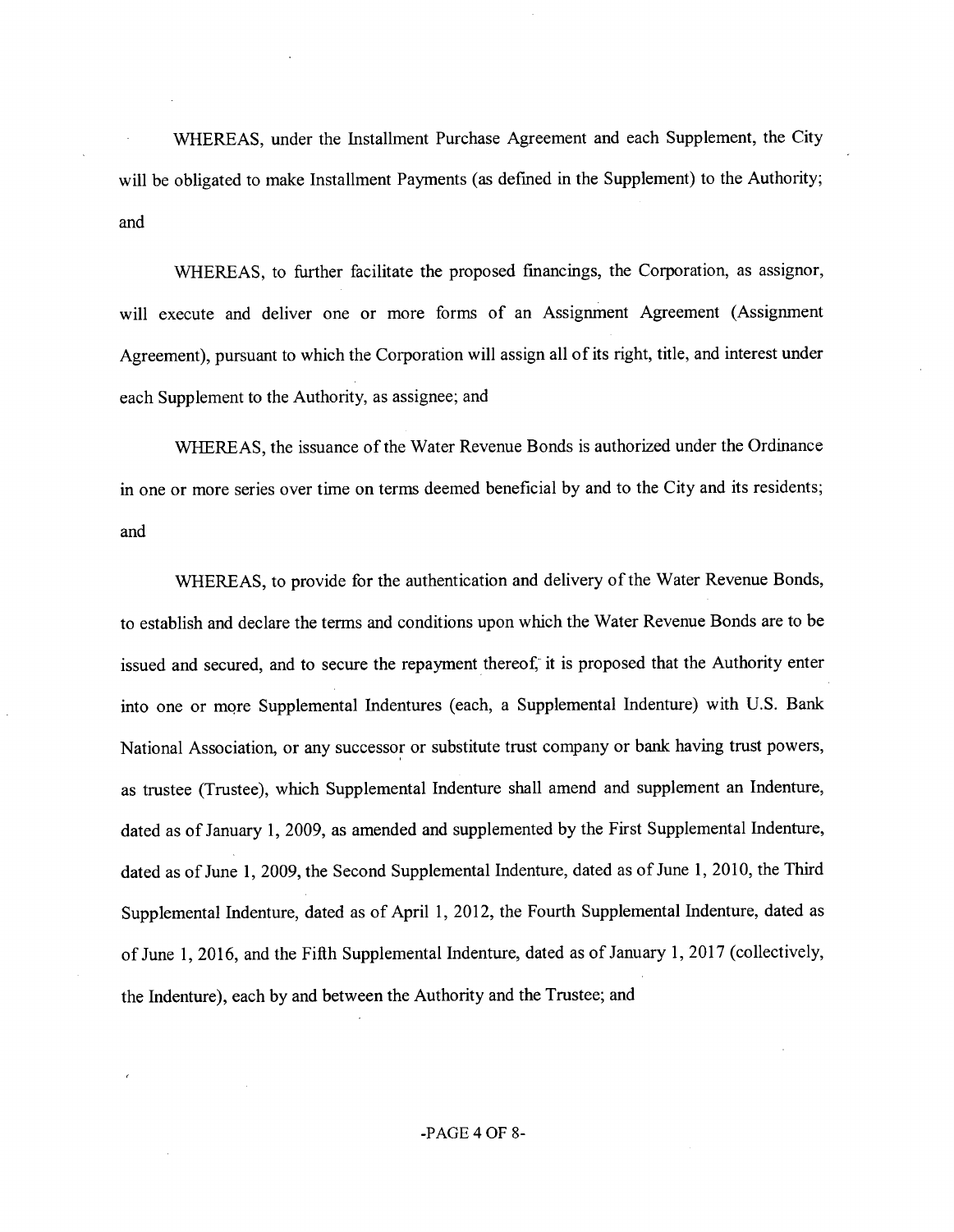WHEREAS, under the Installment Purchase Agreement and each Supplement, the City will be obligated to make Installment Payments (as defined in the Supplement) to the Authority; and

WHEREAS, to further facilitate the proposed financings, the Corporation, as assignor, will execute and deliver one or more forms of an Assignment Agreement (Assignment Agreement), pursuant to which the Corporation will assign all of its right, title, and interest under each Supplement to the Authority, as assignee; and

WHEREAS, the issuance of the Water Revenue Bonds is authorized under the Ordinance in one or more series over time on terms deemed beneficial by and to the City and its residents; and

WHEREAS, to provide for the authentication and delivery of the Water Revenue Bonds, to establish and declare the terms and conditions upon which the Water Revenue Bonds are to be issued and secured, and to secure the repayment thereof, it is proposed that the Authority enter into one or more Supplemental Indentures (each, a Supplemental Indenture) with U.S. Bank National Association, or any successor or substitute trust company or bank having trust powers, as trustee (Trustee), which Supplemental Indenture shall amend and supplement an Indenture, dated as of January 1, 2009, as amended and supplemented by the First Supplemental Indenture, dated as of June 1, 2009, the Second Supplemental Indenture, dated as of June 1, 2010, the Third Supplemental Indenture, dated as of April 1, 2012, the Fourth Supplemental Indenture, dated as of June 1, 2016, and the Fifth Supplemental Indenture, dated as of January 1, 2017 (collectively, the Indenture), each by and between the Authority and the Trustee; and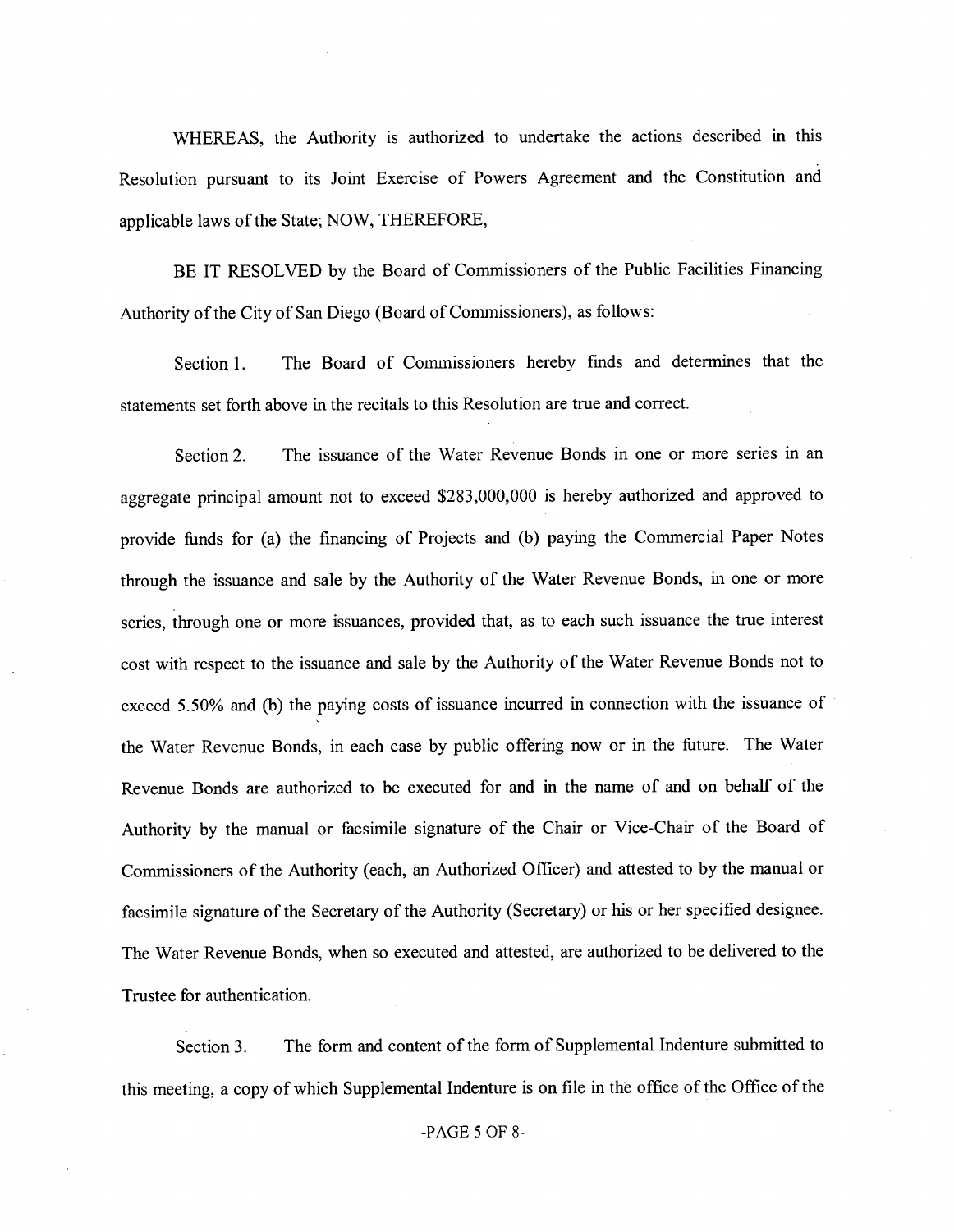WHEREAS, the Authority is authorized to undertake the actions described in this Resolution pursuant to its Joint Exercise of Powers Agreement and the Constitution and applicable laws of the State; NOW, THEREFORE,

BE IT RESOLVED by the Board of Commissioners of the Public Facilities Financing Authority of the City of San Diego (Board of Commissioners), as follows:

Section 1. The Board of Commissioners hereby finds and determines that the statements set forth above in the recitals to this Resolution are true and correct.

Section 2. The issuance of the Water Revenue Bonds in one or more series in an aggregate principal amount not to exceed \$283,000,000 is hereby authorized and approved to provide funds for (a) the financing of Projects and (b) paying the Commercial Paper Notes through the issuance and sale by the Authority of the Water Revenue Bonds, in one or more series, through one or more issuances, provided that, as to each such issuance the true interest cost with respect to the issuance and sale by the Authority of the Water Revenue Bonds not to exceed 5.50% and (b) the paying costs of issuance incurred in connection with the issuance of the Water Revenue Bonds, in each case by public offering now or in the future. The Water Revenue Bonds are authorized to be executed for and in the name of and on behalf of the Authority by the manual or facsimile signature of the Chair or Vice-Chair of the Board of Commissioners of the Authority (each, an Authorized Officer) and attested to by the manual or facsimile signature of the Secretary of the Authority (Secretary) or his or her specified designee. The Water Revenue Bonds, when so executed and attested, are authorized to be delivered to the Trustee for authentication.

Section 3. The form and content of the form of Supplemental Indenture submitted to this meeting, a copy of which Supplemental Indenture is on file in the office of the Office of the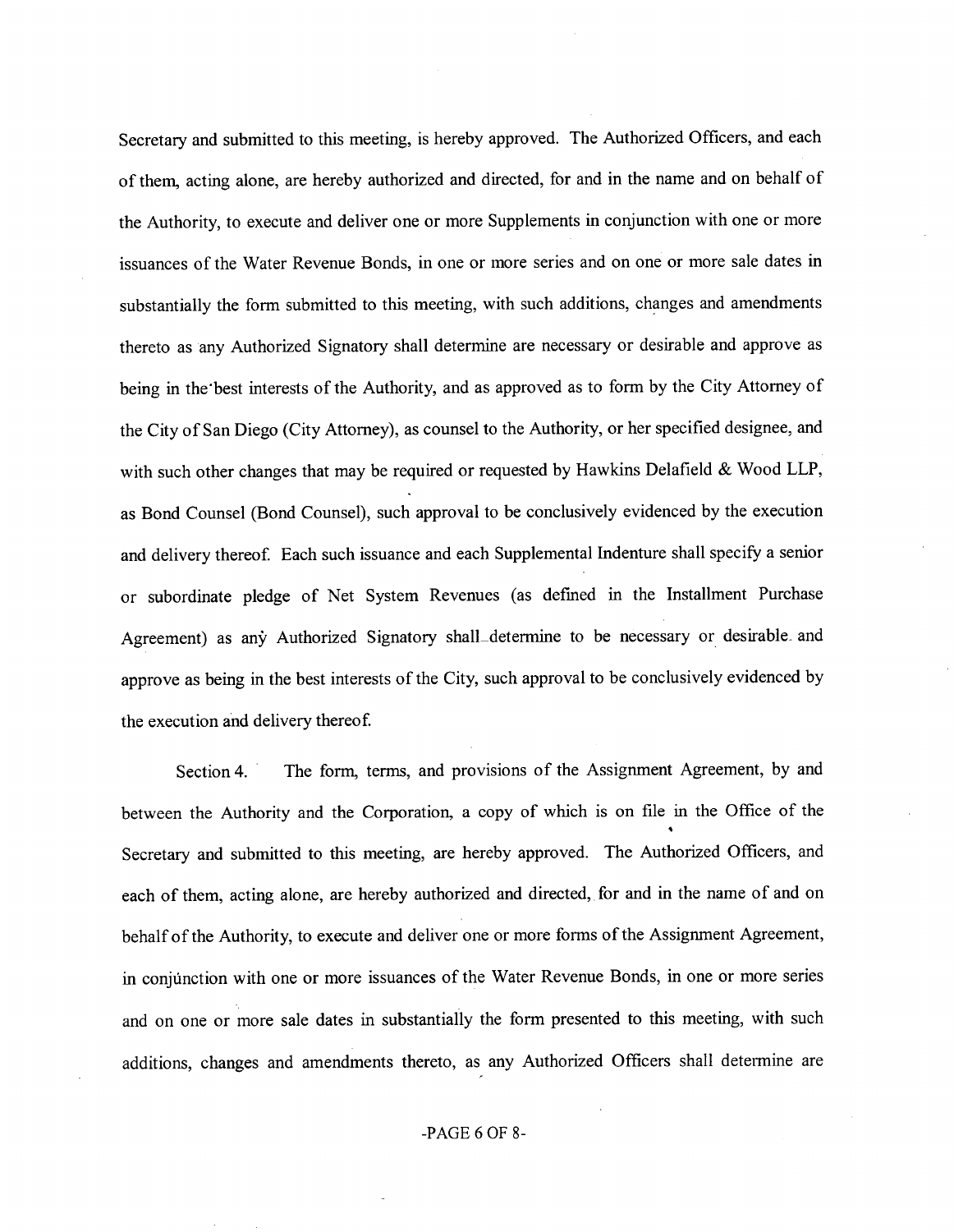Secretary and submitted to this meeting, is hereby approved. The Authorized Officers, and each ofthem, acting alone, are hereby authorized and directed, for and in the name and on behalf of the Authority, to execute and deliver one or more Supplements in conjunction with one or more issuances of the Water Revenue Bonds, in one or more series and on one or more sale dates in substantially the form submitted to this meeting, with such additions, changes and amendments thereto as any Authorized Signatory shall determine are necessary or desirable and approve as being in the best interests of the Authority, and as approved as to form by the City Attorney of the City of San Diego (City Attorney), as counsel to the Authority, or her specified designee, and with such other changes that may be required or requested by Hawkins Delafield & Wood LLP, as Bond Counsel (Bond Counsel), such approval to be conclusively evidenced by the execution and delivery thereof. Each such issuance and each Supplemental Indenture shall specify a senior or subordinate pledge of Net System Revenues (as defined in the Installment Purchase Agreement) as any Authorized Signatory shall determine to be necessary or desirable, and approve as being in the best interests of the City, such approval to be conclusively evidenced by the execution and delivery thereof

Section 4. The form, terms, and provisions of the Assignment Agreement, by and between the Authority and the Corporation, a copy of which is on file in the Office of the Secretary and submitted to this meeting, are hereby approved. The Authorized Officers, and each of them, acting alone, are hereby authorized and directed, for and in the name of and on behalf of the Authority, to execute and deliver one or more forms of the Assignment Agreement, in conjunction with one or more issuances of the Water Revenue Bonds, in one or more series and on one or more sale dates in substantially the form presented to this meeting, with such additions, changes and amendments thereto, as any Authorized Officers shall determine are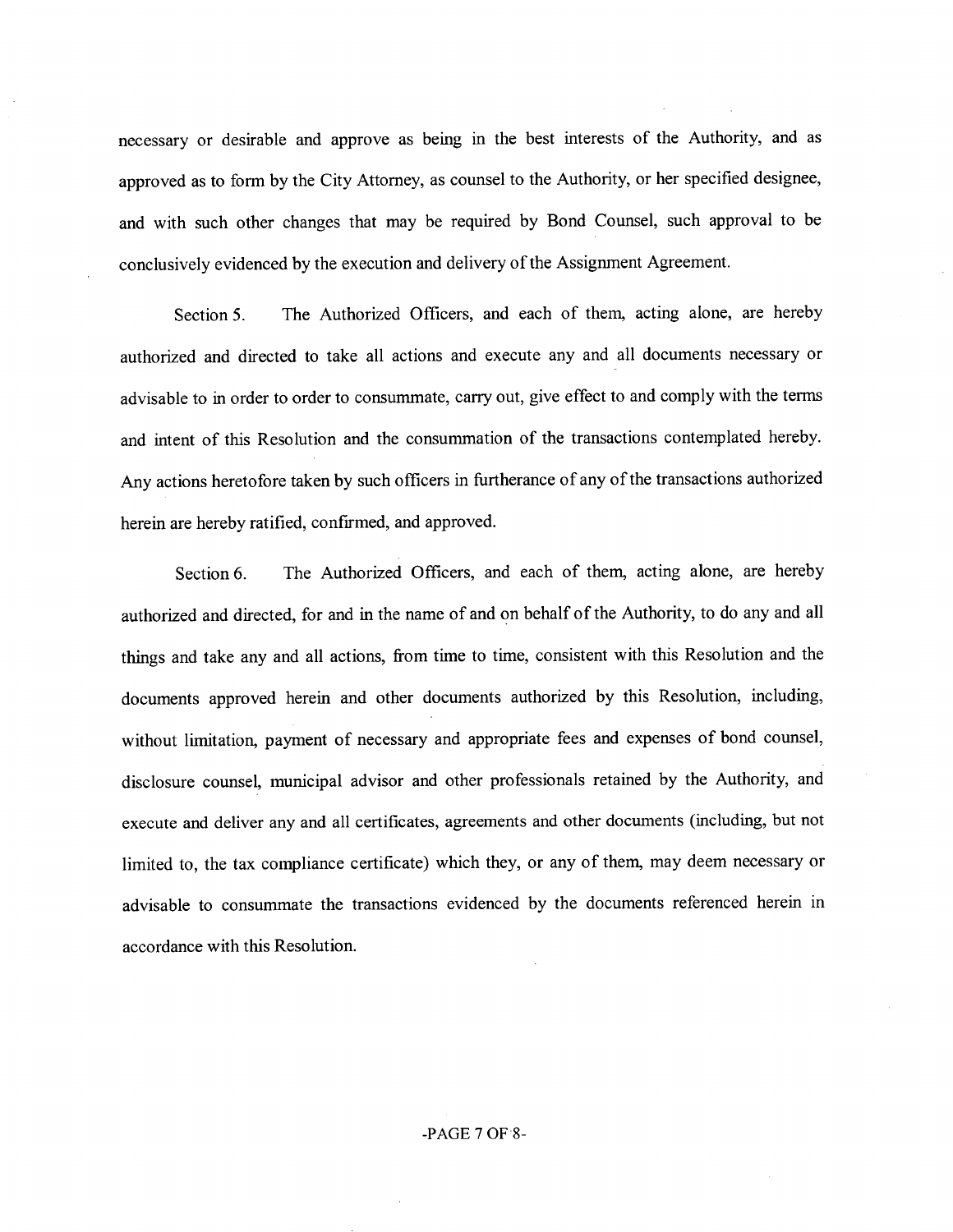necessary or desirable and approve as being in the best interests of the Authority, and as approved as to form by the City Attorney, as counsel to the Authority, or her specified designee, and with such other changes that may be required by Bond Counsel, such approval to be conclusively evidenced by the execution and delivery of the Assignment Agreement.

Section 5. The Authorized Officers, and each of them, acting alone, are hereby authorized and directed to take all actions and execute any and all documents necessary or advisable to in order to order to consummate, carry out, give effect to and comply with the terms and intent of this Resolution and the consummation of the transactions contemplated hereby. Any actions heretofore taken by such officers in furtherance of any of the transactions authorized herein are hereby ratified, confirmed, and approved.

Section 6. The Authorized Officers, and each of them, acting alone, are hereby authorized and directed, for and in the name of and on behalf of the Authority, to do any and all things and take any and all actions, from time to time, consistent with this Resolution and the documents approved herein and other documents authorized by this Resolution, including, without limitation, payment of necessary and appropriate fees and expenses of bond counsel, disclosure counsel, munieipal advisor and other professionals retained by the Authority, and execute and deliver any and all certificates, agreements and other documents (including, but not limited to, the tax compliance certificate) which they, or any of them, may deem necessary or advisable to consummate the transactions evidenced by the documents referenced herein in accordance with this Resolution.